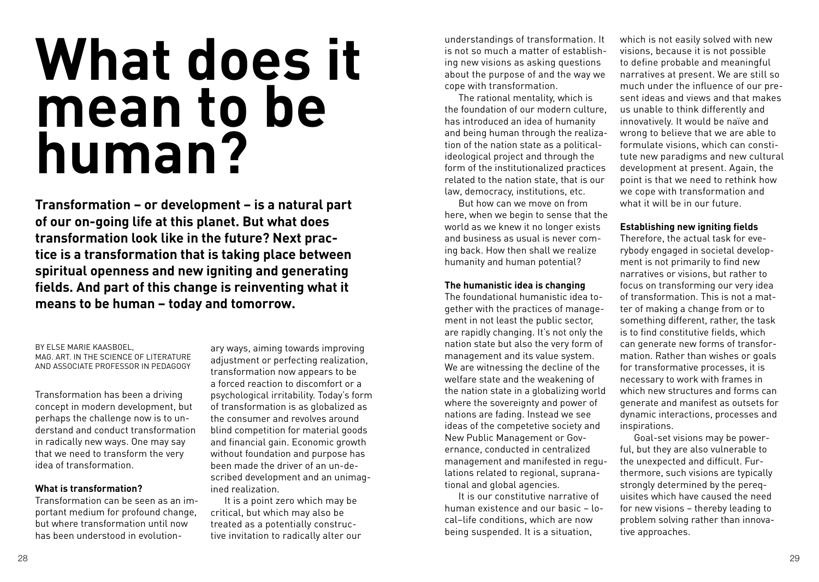# **What does it mean to be human?**

**Transformation – or development – is a natural part of our on-going life at this planet. But what does transformation look like in the future? Next practice is a transformation that is taking place between spiritual openness and new igniting and generating fields. And part of this change is reinventing what it means to be human – today and tomorrow.** 

### By Else Marie Kaasboel, MAG, ART. IN THE SCIENCE OF LITERATURE and Associate Professor in pedagogy

Transformation has been a driving concept in modern development, but perhaps the challenge now is to understand and conduct transformation in radically new ways. One may say that we need to transform the very idea of transformation.

### **What is transformation?**

Transformation can be seen as an important medium for profound change, but where transformation until now has been understood in evolution-

ary ways, aiming towards improving adjustment or perfecting realization, transformation now appears to be a forced reaction to discomfort or a psychological irritability. Today's form of transformation is as globalized as the consumer and revolves around blind competition for material goods and financial gain. Economic growth without foundation and purpose has been made the driver of an un-described development and an unimagined realization.

 It is a point zero which may be critical, but which may also be treated as a potentially constructive invitation to radically alter our

understandings of transformation. It is not so much a matter of establishing new visions as asking questions about the purpose of and the way we cope with transformation.

 The rational mentality, which is the foundation of our modern culture, has introduced an idea of humanity and being human through the realization of the nation state as a politicalideological project and through the form of the institutionalized practices related to the nation state, that is our law, democracy, institutions, etc.

But how can we move on from here, when we begin to sense that the world as we knew it no longer exists and business as usual is never coming back. How then shall we realize humanity and human potential?

### **The humanistic idea is changing**

The foundational humanistic idea together with the practices of management in not least the public sector, are rapidly changing. It's not only the nation state but also the very form of management and its value system. We are witnessing the decline of the welfare state and the weakening of the nation state in a globalizing world where the sovereignty and power of nations are fading. Instead we see ideas of the competetive society and New Public Management or Governance, conducted in centralized management and manifested in regulations related to regional, supranational and global agencies.

 It is our constitutive narrative of human existence and our basic – local–life conditions, which are now being suspended. It is a situation,

which is not easily solved with new visions, because it is not possible to define probable and meaningful narratives at present. We are still so much under the influence of our present ideas and views and that makes us unable to think differently and innovatively. It would be naïve and wrong to believe that we are able to formulate visions, which can constitute new paradigms and new cultural development at present. Again, the point is that we need to rethink how we cope with transformation and what it will be in our future.

# **Establishing new igniting fields**

Therefore, the actual task for everybody engaged in societal development is not primarily to find new narratives or visions, but rather to focus on transforming our very idea of transformation. This is not a matter of making a change from or to something different, rather, the task is to find constitutive fields, which can generate new forms of transformation. Rather than wishes or goals for transformative processes, it is necessary to work with frames in which new structures and forms can generate and manifest as outsets for dynamic interactions, processes and inspirations.

 Goal-set visions may be powerful, but they are also vulnerable to the unexpected and difficult. Furthermore, such visions are typically strongly determined by the perequisites which have caused the need for new visions – thereby leading to problem solving rather than innovative approaches.